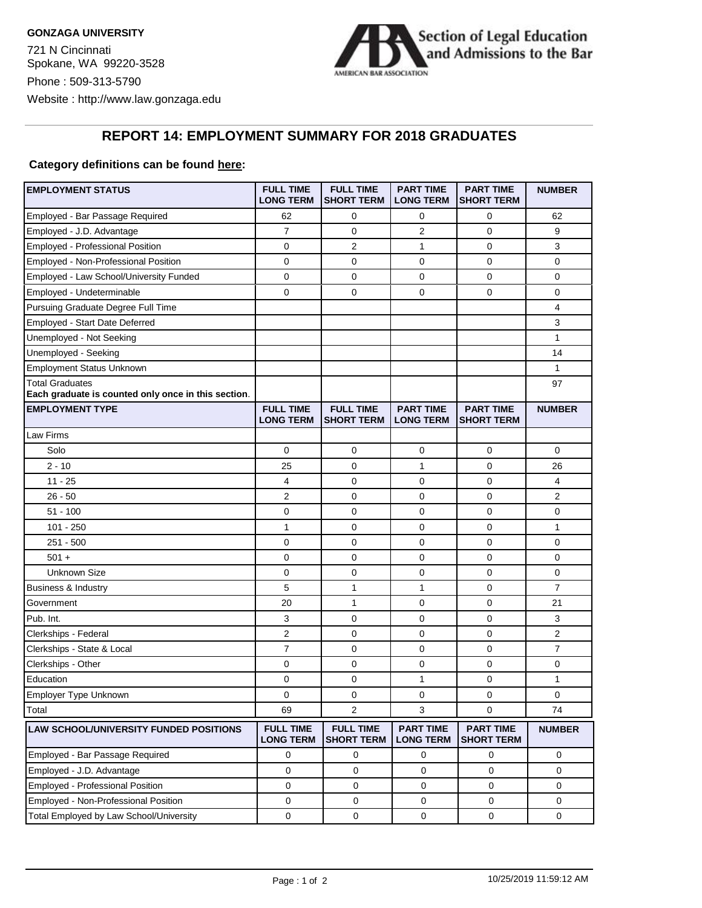

## **REPORT 14: EMPLOYMENT SUMMARY FOR 2018 GRADUATES**

## **Category definitions can be found here:**

| <b>EMPLOYMENT STATUS</b>                                                      | <b>FULL TIME</b><br><b>LONG TERM</b> | <b>FULL TIME</b><br><b>SHORT TERM</b> | <b>PART TIME</b><br><b>LONG TERM</b> | <b>PART TIME</b><br><b>SHORT TERM</b> | <b>NUMBER</b>  |
|-------------------------------------------------------------------------------|--------------------------------------|---------------------------------------|--------------------------------------|---------------------------------------|----------------|
| Employed - Bar Passage Required                                               | 62                                   | 0                                     | 0                                    | 0                                     | 62             |
| Employed - J.D. Advantage                                                     | $\overline{7}$                       | $\mathbf 0$                           | 2                                    | 0                                     | 9              |
| Employed - Professional Position                                              | 0                                    | 2                                     | 1                                    | 0                                     | 3              |
| Employed - Non-Professional Position                                          | 0                                    | $\mathbf 0$                           | 0                                    | 0                                     | 0              |
| Employed - Law School/University Funded                                       | 0                                    | $\mathbf 0$                           | 0                                    | 0                                     | 0              |
| Employed - Undeterminable                                                     | 0                                    | $\mathbf 0$                           | 0                                    | 0                                     | 0              |
| Pursuing Graduate Degree Full Time                                            |                                      |                                       |                                      |                                       | 4              |
| Employed - Start Date Deferred                                                |                                      |                                       |                                      |                                       | 3              |
| Unemployed - Not Seeking                                                      |                                      |                                       |                                      |                                       | 1              |
| Unemployed - Seeking                                                          |                                      |                                       |                                      |                                       | 14             |
| <b>Employment Status Unknown</b>                                              |                                      |                                       |                                      |                                       | 1              |
| <b>Total Graduates</b><br>Each graduate is counted only once in this section. |                                      |                                       |                                      |                                       | 97             |
| <b>EMPLOYMENT TYPE</b>                                                        | <b>FULL TIME</b><br><b>LONG TERM</b> | <b>FULL TIME</b><br><b>SHORT TERM</b> | <b>PART TIME</b><br><b>LONG TERM</b> | <b>PART TIME</b><br><b>SHORT TERM</b> | <b>NUMBER</b>  |
| Law Firms                                                                     |                                      |                                       |                                      |                                       |                |
| Solo                                                                          | 0                                    | $\mathbf 0$                           | 0                                    | 0                                     | 0              |
| $2 - 10$                                                                      | 25                                   | $\mathbf 0$                           | $\mathbf{1}$                         | $\mathbf{0}$                          | 26             |
| $11 - 25$                                                                     | 4                                    | $\mathbf 0$                           | 0                                    | 0                                     | 4              |
| $26 - 50$                                                                     | 2                                    | $\mathbf 0$                           | 0                                    | 0                                     | $\overline{2}$ |
| 51 - 100                                                                      | 0                                    | 0                                     | 0                                    | $\mathbf 0$                           | 0              |
| $101 - 250$                                                                   | 1                                    | $\mathbf 0$                           | 0                                    | $\mathbf 0$                           | 1              |
| $251 - 500$                                                                   | 0                                    | $\mathbf 0$                           | 0                                    | 0                                     | 0              |
| $501 +$                                                                       | 0                                    | $\mathbf 0$                           | 0                                    | 0                                     | 0              |
| <b>Unknown Size</b>                                                           | 0                                    | 0                                     | 0                                    | 0                                     | 0              |
| Business & Industry                                                           | 5                                    | 1                                     | 1                                    | 0                                     | $\overline{7}$ |
| Government                                                                    | 20                                   | 1                                     | 0                                    | 0                                     | 21             |
| Pub. Int.                                                                     | 3                                    | $\mathbf 0$                           | 0                                    | 0                                     | 3              |
| Clerkships - Federal                                                          | 2                                    | 0                                     | 0                                    | $\mathbf 0$                           | 2              |
| Clerkships - State & Local                                                    | $\overline{7}$                       | 0                                     | 0                                    | 0                                     | 7              |
| Clerkships - Other                                                            | 0                                    | 0                                     | 0                                    | $\mathbf 0$                           | 0              |
| Education                                                                     | 0                                    | 0                                     | 1                                    | 0                                     | 1              |
| Employer Type Unknown                                                         | 0                                    | $\pmb{0}$                             | 0                                    | $\mathsf 0$                           | 0              |
| Total                                                                         | 69                                   | 2                                     | 3                                    | $\mathbf{0}$                          | 74             |
| LAW SCHOOL/UNIVERSITY FUNDED POSITIONS                                        | <b>FULL TIME</b><br><b>LONG TERM</b> | <b>FULL TIME</b><br><b>SHORT TERM</b> | <b>PART TIME</b><br><b>LONG TERM</b> | <b>PART TIME</b><br><b>SHORT TERM</b> | <b>NUMBER</b>  |
| Employed - Bar Passage Required                                               | 0                                    | 0                                     | 0                                    | 0                                     | 0              |
| Employed - J.D. Advantage                                                     | 0                                    | $\mathbf{0}$                          | 0                                    | 0                                     | 0              |
| Employed - Professional Position                                              | $\mathbf 0$                          | 0                                     | $\mathbf 0$                          | $\mathbf 0$                           | $\mathbf 0$    |
| Employed - Non-Professional Position                                          | $\mathbf 0$                          | 0                                     | 0                                    | 0                                     | 0              |
| Total Employed by Law School/University                                       | $\mathsf 0$                          | $\mathbf 0$                           | $\mathsf{O}\xspace$                  | $\mathbf 0$                           | $\mathsf 0$    |